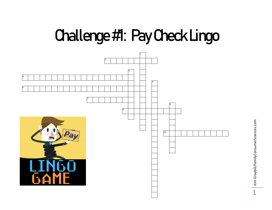## **Challenge #1: Pay Check Lingo**